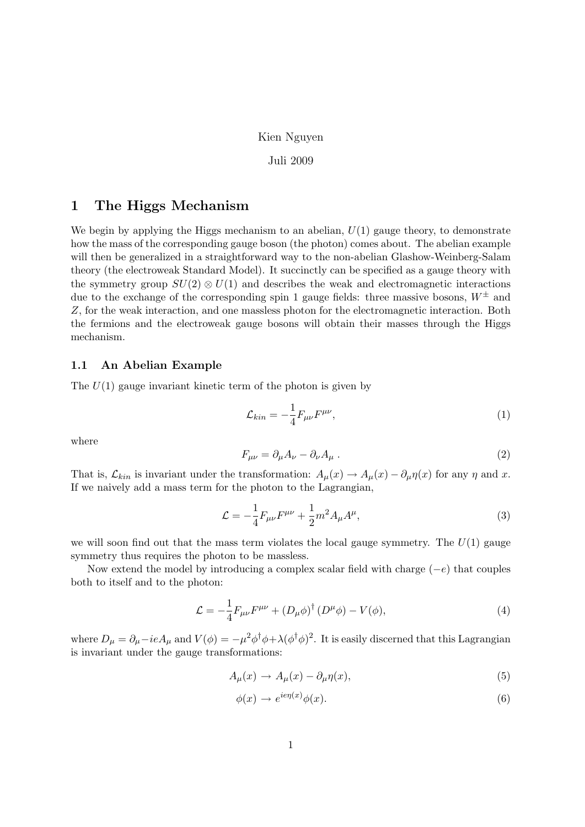### Kien Nguyen

### Juli 2009

# 1 The Higgs Mechanism

We begin by applying the Higgs mechanism to an abelian,  $U(1)$  gauge theory, to demonstrate how the mass of the corresponding gauge boson (the photon) comes about. The abelian example will then be generalized in a straightforward way to the non-abelian Glashow-Weinberg-Salam theory (the electroweak Standard Model). It succinctly can be specified as a gauge theory with the symmetry group  $SU(2) \otimes U(1)$  and describes the weak and electromagnetic interactions due to the exchange of the corresponding spin 1 gauge fields: three massive bosons,  $W^{\pm}$  and Z, for the weak interaction, and one massless photon for the electromagnetic interaction. Both the fermions and the electroweak gauge bosons will obtain their masses through the Higgs mechanism.

### 1.1 An Abelian Example

The  $U(1)$  gauge invariant kinetic term of the photon is given by

$$
\mathcal{L}_{kin} = -\frac{1}{4} F_{\mu\nu} F^{\mu\nu},\tag{1}
$$

where

$$
F_{\mu\nu} = \partial_{\mu}A_{\nu} - \partial_{\nu}A_{\mu} \,. \tag{2}
$$

That is,  $\mathcal{L}_{kin}$  is invariant under the transformation:  $A_{\mu}(x) \rightarrow A_{\mu}(x) - \partial_{\mu} \eta(x)$  for any  $\eta$  and x. If we naively add a mass term for the photon to the Lagrangian,

$$
\mathcal{L} = -\frac{1}{4}F_{\mu\nu}F^{\mu\nu} + \frac{1}{2}m^2 A_{\mu}A^{\mu},\tag{3}
$$

we will soon find out that the mass term violates the local gauge symmetry. The  $U(1)$  gauge symmetry thus requires the photon to be massless.

Now extend the model by introducing a complex scalar field with charge  $(-e)$  that couples both to itself and to the photon:

$$
\mathcal{L} = -\frac{1}{4}F_{\mu\nu}F^{\mu\nu} + (D_{\mu}\phi)^{\dagger} (D^{\mu}\phi) - V(\phi), \tag{4}
$$

where  $D_\mu = \partial_\mu - ieA_\mu$  and  $V(\phi) = -\mu^2 \phi^\dagger \phi + \lambda (\phi^\dagger \phi)^2$ . It is easily discerned that this Lagrangian is invariant under the gauge transformations:

$$
A_{\mu}(x) \to A_{\mu}(x) - \partial_{\mu}\eta(x), \tag{5}
$$

$$
\phi(x) \to e^{ie\eta(x)}\phi(x). \tag{6}
$$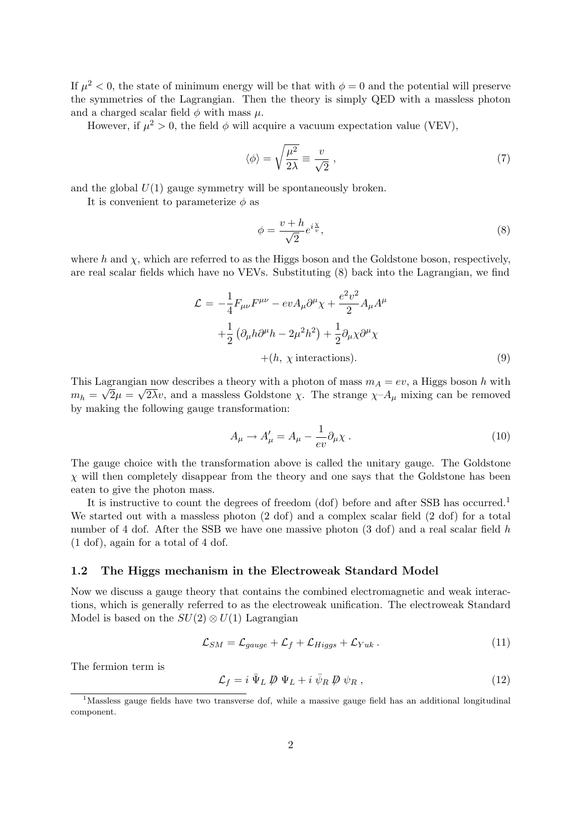If  $\mu^2 < 0$ , the state of minimum energy will be that with  $\phi = 0$  and the potential will preserve the symmetries of the Lagrangian. Then the theory is simply QED with a massless photon and a charged scalar field  $\phi$  with mass  $\mu$ .

However, if  $\mu^2 > 0$ , the field  $\phi$  will acquire a vacuum expectation value (VEV),

$$
\langle \phi \rangle = \sqrt{\frac{\mu^2}{2\lambda}} \equiv \frac{v}{\sqrt{2}} \,, \tag{7}
$$

and the global  $U(1)$  gauge symmetry will be spontaneously broken.

It is convenient to parameterize  $\phi$  as

$$
\phi = \frac{v + h}{\sqrt{2}} e^{i\frac{\chi}{v}},\tag{8}
$$

where h and  $\chi$ , which are referred to as the Higgs boson and the Goldstone boson, respectively, are real scalar fields which have no VEVs. Substituting (8) back into the Lagrangian, we find

$$
\mathcal{L} = -\frac{1}{4} F_{\mu\nu} F^{\mu\nu} - ev A_{\mu} \partial^{\mu} \chi + \frac{e^2 v^2}{2} A_{\mu} A^{\mu}
$$

$$
+ \frac{1}{2} \left( \partial_{\mu} h \partial^{\mu} h - 2\mu^2 h^2 \right) + \frac{1}{2} \partial_{\mu} \chi \partial^{\mu} \chi
$$

$$
+ (h, \chi \text{ interactions}). \tag{9}
$$

This Lagrangian now describes a theory with a photon of mass  $m_A = ev$ , a Higgs boson h with  $m_h = \sqrt{2\mu} = \sqrt{2\lambda}v$ , and a massless Goldstone  $\chi$ . The strange  $\chi$ - $A_\mu$  mixing can be removed by making the following gauge transformation:

$$
A_{\mu} \to A'_{\mu} = A_{\mu} - \frac{1}{ev} \partial_{\mu} \chi \tag{10}
$$

The gauge choice with the transformation above is called the unitary gauge. The Goldstone  $\chi$  will then completely disappear from the theory and one says that the Goldstone has been eaten to give the photon mass.

It is instructive to count the degrees of freedom (dof) before and after SSB has occurred.<sup>1</sup> We started out with a massless photon  $(2 \text{ dof})$  and a complex scalar field  $(2 \text{ dof})$  for a total number of 4 dof. After the SSB we have one massive photon (3 dof) and a real scalar field h (1 dof), again for a total of 4 dof.

### 1.2 The Higgs mechanism in the Electroweak Standard Model

Now we discuss a gauge theory that contains the combined electromagnetic and weak interactions, which is generally referred to as the electroweak unification. The electroweak Standard Model is based on the  $SU(2) \otimes U(1)$  Lagrangian

$$
\mathcal{L}_{SM} = \mathcal{L}_{gauge} + \mathcal{L}_f + \mathcal{L}_{Higgs} + \mathcal{L}_{Yuk} \,. \tag{11}
$$

The fermion term is

$$
\mathcal{L}_f = i \,\overline{\Psi}_L \, \not\!\!\!D \, \Psi_L + i \,\overline{\psi}_R \, \not\!\!\!D \, \psi_R \,, \tag{12}
$$

<sup>&</sup>lt;sup>1</sup>Massless gauge fields have two transverse dof, while a massive gauge field has an additional longitudinal component.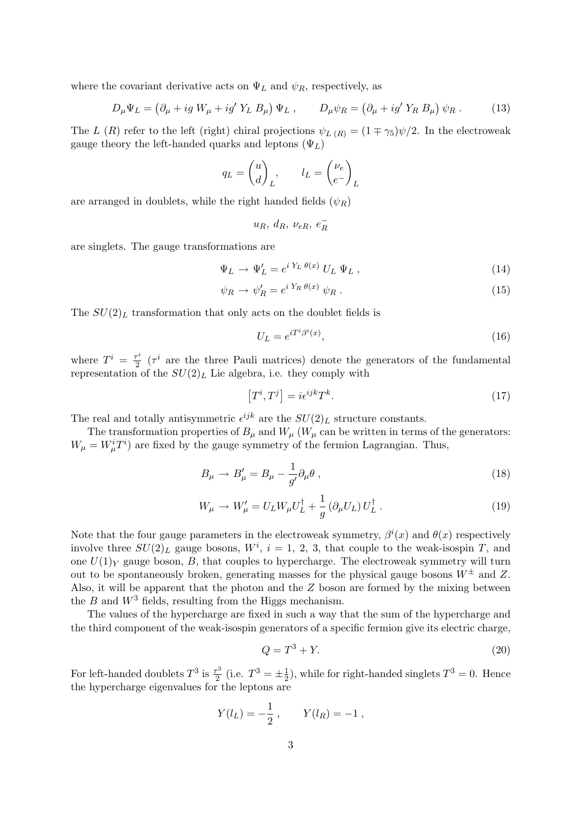where the covariant derivative acts on  $\Psi_L$  and  $\psi_R$ , respectively, as

$$
D_{\mu}\Psi_L = \left(\partial_{\mu} + ig W_{\mu} + ig' Y_L B_{\mu}\right)\Psi_L, \qquad D_{\mu}\psi_R = \left(\partial_{\mu} + ig' Y_R B_{\mu}\right)\psi_R. \tag{13}
$$

The L (R) refer to the left (right) chiral projections  $\psi_{L(R)} = (1 \mp \gamma_5)\psi/2$ . In the electroweak gauge theory the left-handed quarks and leptons  $(\Psi_L)$ 

$$
q_L = \begin{pmatrix} u \\ d \end{pmatrix}_L, \qquad l_L = \begin{pmatrix} \nu_e \\ e^- \end{pmatrix}_L
$$

are arranged in doublets, while the right handed fields  $(\psi_R)$ 

$$
u_R,\ d_R,\ \nu_{eR},\ e^-_R
$$

are singlets. The gauge transformations are

$$
\Psi_L \to \Psi'_L = e^{i Y_L \theta(x)} U_L \Psi_L , \qquad (14)
$$

$$
\psi_R \to \psi'_R = e^{i Y_R \theta(x)} \psi_R \,. \tag{15}
$$

The  $SU(2)_L$  transformation that only acts on the doublet fields is

$$
U_L = e^{i T^i \beta^i(x)},\tag{16}
$$

where  $T^i = \frac{\tau^i}{2}$  $\frac{\tau^i}{2}$  ( $\tau^i$  are the three Pauli matrices) denote the generators of the fundamental representation of the  $SU(2)_L$  Lie algebra, i.e. they comply with

$$
[T^i, T^j] = i\epsilon^{ijk}T^k.
$$
\n(17)

The real and totally antisymmetric  $\epsilon^{ijk}$  are the  $SU(2)_L$  structure constants.

The transformation properties of  $B_\mu$  and  $W_\mu$  ( $W_\mu$  can be written in terms of the generators:  $W_{\mu} = W_{\mu}^{i} T^{i}$  are fixed by the gauge symmetry of the fermion Lagrangian. Thus,

$$
B_{\mu} \to B'_{\mu} = B_{\mu} - \frac{1}{g'} \partial_{\mu} \theta , \qquad (18)
$$

$$
W_{\mu} \to W'_{\mu} = U_L W_{\mu} U_L^{\dagger} + \frac{1}{g} \left( \partial_{\mu} U_L \right) U_L^{\dagger} . \tag{19}
$$

Note that the four gauge parameters in the electroweak symmetry,  $\beta^{i}(x)$  and  $\theta(x)$  respectively involve three  $SU(2)_L$  gauge bosons,  $W^i$ ,  $i = 1, 2, 3$ , that couple to the weak-isospin T, and one  $U(1)_Y$  gauge boson, B, that couples to hypercharge. The electroweak symmetry will turn out to be spontaneously broken, generating masses for the physical gauge bosons  $W^{\pm}$  and Z. Also, it will be apparent that the photon and the  $Z$  boson are formed by the mixing between the  $B$  and  $W^3$  fields, resulting from the Higgs mechanism.

The values of the hypercharge are fixed in such a way that the sum of the hypercharge and the third component of the weak-isospin generators of a specific fermion give its electric charge,

$$
Q = T^3 + Y.\t\t(20)
$$

For left-handed doublets  $T^3$  is  $\frac{\tau^3}{2}$  $\frac{\tau^3}{2}$  (i.e.  $T^3 = \pm \frac{1}{2}$  $\frac{1}{2}$ , while for right-handed singlets  $T^3 = 0$ . Hence the hypercharge eigenvalues for the leptons are

$$
Y(l_L) = -\frac{1}{2}
$$
,  $Y(l_R) = -1$ ,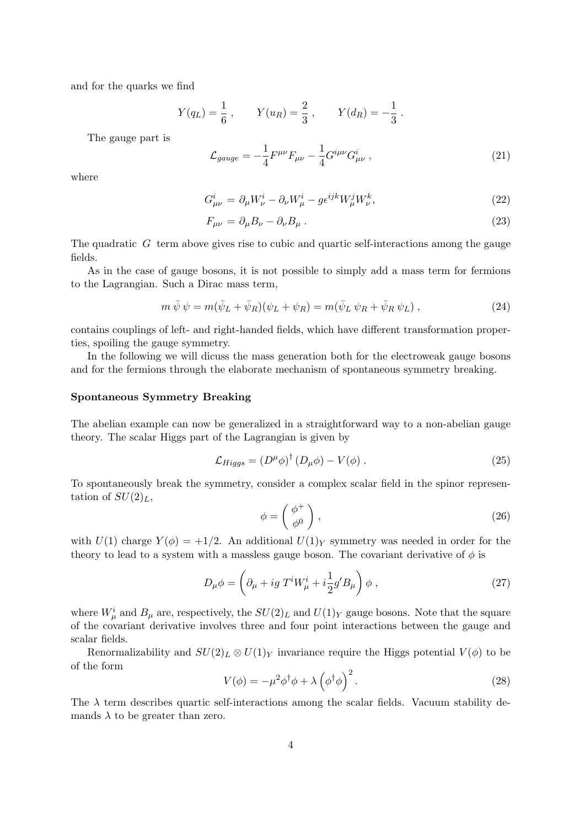and for the quarks we find

$$
Y(q_L) = \frac{1}{6}
$$
,  $Y(u_R) = \frac{2}{3}$ ,  $Y(d_R) = -\frac{1}{3}$ .

The gauge part is

$$
\mathcal{L}_{gauge} = -\frac{1}{4} F^{\mu\nu} F_{\mu\nu} - \frac{1}{4} G^{i\mu\nu} G^{i}_{\mu\nu} , \qquad (21)
$$

where

$$
G_{\mu\nu}^i = \partial_{\mu} W_{\nu}^i - \partial_{\nu} W_{\mu}^i - g \epsilon^{ijk} W_{\mu}^j W_{\nu}^k,\tag{22}
$$

$$
F_{\mu\nu} = \partial_{\mu}B_{\nu} - \partial_{\nu}B_{\mu} \,. \tag{23}
$$

The quadratic  $G$  term above gives rise to cubic and quartic self-interactions among the gauge fields.

As in the case of gauge bosons, it is not possible to simply add a mass term for fermions to the Lagrangian. Such a Dirac mass term,

$$
m\,\bar{\psi}\,\psi = m(\bar{\psi}_L + \bar{\psi}_R)(\psi_L + \psi_R) = m(\bar{\psi}_L\,\psi_R + \bar{\psi}_R\,\psi_L) ,\qquad (24)
$$

contains couplings of left- and right-handed fields, which have different transformation properties, spoiling the gauge symmetry.

In the following we will dicuss the mass generation both for the electroweak gauge bosons and for the fermions through the elaborate mechanism of spontaneous symmetry breaking.

### Spontaneous Symmetry Breaking

The abelian example can now be generalized in a straightforward way to a non-abelian gauge theory. The scalar Higgs part of the Lagrangian is given by

$$
\mathcal{L}_{Higgs} = (D^{\mu}\phi)^{\dagger} (D_{\mu}\phi) - V(\phi) . \qquad (25)
$$

To spontaneously break the symmetry, consider a complex scalar field in the spinor representation of  $SU(2)_L$ ,

$$
\phi = \begin{pmatrix} \phi^+ \\ \phi^0 \end{pmatrix},\tag{26}
$$

with  $U(1)$  charge  $Y(\phi) = +1/2$ . An additional  $U(1)_Y$  symmetry was needed in order for the theory to lead to a system with a massless gauge boson. The covariant derivative of  $\phi$  is

$$
D_{\mu}\phi = \left(\partial_{\mu} + ig T^i W^i_{\mu} + i\frac{1}{2}g'B_{\mu}\right)\phi ,\qquad (27)
$$

where  $W^i_\mu$  and  $B_\mu$  are, respectively, the  $SU(2)_L$  and  $U(1)_Y$  gauge bosons. Note that the square of the covariant derivative involves three and four point interactions between the gauge and scalar fields.

Renormalizability and  $SU(2)_L \otimes U(1)_Y$  invariance require the Higgs potential  $V(\phi)$  to be of the form

$$
V(\phi) = -\mu^2 \phi^\dagger \phi + \lambda \left(\phi^\dagger \phi\right)^2.
$$
 (28)

The  $\lambda$  term describes quartic self-interactions among the scalar fields. Vacuum stability demands  $\lambda$  to be greater than zero.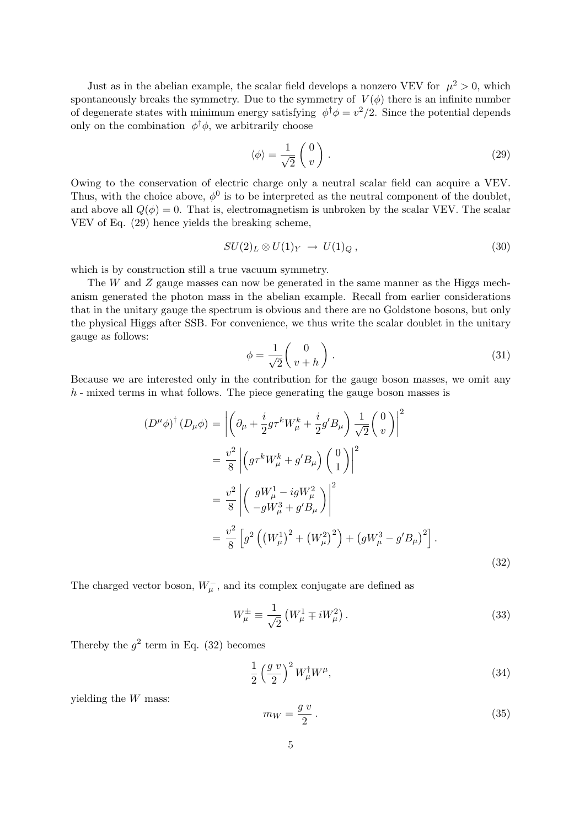Just as in the abelian example, the scalar field develops a nonzero VEV for  $\mu^2 > 0$ , which spontaneously breaks the symmetry. Due to the symmetry of  $V(\phi)$  there is an infinite number of degenerate states with minimum energy satisfying  $\phi^{\dagger} \phi = v^2/2$ . Since the potential depends only on the combination  $\phi^{\dagger} \phi$ , we arbitrarily choose

$$
\langle \phi \rangle = \frac{1}{\sqrt{2}} \begin{pmatrix} 0 \\ v \end{pmatrix} . \tag{29}
$$

Owing to the conservation of electric charge only a neutral scalar field can acquire a VEV. Thus, with the choice above,  $\phi^0$  is to be interpreted as the neutral component of the doublet, and above all  $Q(\phi) = 0$ . That is, electromagnetism is unbroken by the scalar VEV. The scalar VEV of Eq. (29) hence yields the breaking scheme,

$$
SU(2)_L \otimes U(1)_Y \to U(1)_Q, \qquad (30)
$$

which is by construction still a true vacuum symmetry.

The W and Z gauge masses can now be generated in the same manner as the Higgs mechanism generated the photon mass in the abelian example. Recall from earlier considerations that in the unitary gauge the spectrum is obvious and there are no Goldstone bosons, but only the physical Higgs after SSB. For convenience, we thus write the scalar doublet in the unitary gauge as follows:

$$
\phi = \frac{1}{\sqrt{2}} \begin{pmatrix} 0 \\ v + h \end{pmatrix} . \tag{31}
$$

Because we are interested only in the contribution for the gauge boson masses, we omit any h - mixed terms in what follows. The piece generating the gauge boson masses is

$$
(D^{\mu}\phi)^{\dagger} (D_{\mu}\phi) = \left| \left( \partial_{\mu} + \frac{i}{2} g \tau^{k} W_{\mu}^{k} + \frac{i}{2} g' B_{\mu} \right) \frac{1}{\sqrt{2}} \left( \begin{array}{c} 0 \\ v \end{array} \right) \right|^{2}
$$
  
=  $\frac{v^{2}}{8} \left| \left( g \tau^{k} W_{\mu}^{k} + g' B_{\mu} \right) \left( \begin{array}{c} 0 \\ 1 \end{array} \right) \right|^{2}$   
=  $\frac{v^{2}}{8} \left| \left( \begin{array}{c} g W_{\mu}^{1} - ig W_{\mu}^{2} \\ -g W_{\mu}^{3} + g' B_{\mu} \end{array} \right) \right|^{2}$   
=  $\frac{v^{2}}{8} \left[ g^{2} \left( \left( W_{\mu}^{1} \right)^{2} + \left( W_{\mu}^{2} \right)^{2} \right) + \left( g W_{\mu}^{3} - g' B_{\mu} \right)^{2} \right].$  (32)

The charged vector boson,  $W_{\mu}^-$ , and its complex conjugate are defined as

$$
W_{\mu}^{\pm} \equiv \frac{1}{\sqrt{2}} \left( W_{\mu}^{1} \mp i W_{\mu}^{2} \right). \tag{33}
$$

Thereby the  $g^2$  term in Eq. (32) becomes

$$
\frac{1}{2} \left(\frac{g v}{2}\right)^2 W^{\dagger}_{\mu} W^{\mu},\tag{34}
$$

yielding the W mass:

$$
m_W = \frac{g v}{2} \,. \tag{35}
$$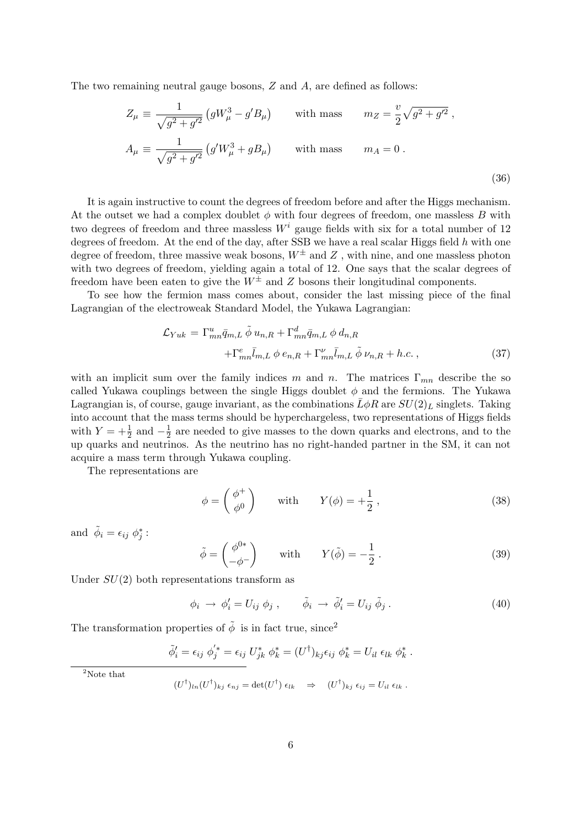The two remaining neutral gauge bosons, Z and A, are defined as follows:

$$
Z_{\mu} \equiv \frac{1}{\sqrt{g^2 + g'^2}} \left( gW_{\mu}^3 - g'B_{\mu} \right) \quad \text{with mass} \quad m_Z = \frac{v}{2} \sqrt{g^2 + g'^2} \,,
$$
  

$$
A_{\mu} \equiv \frac{1}{\sqrt{g^2 + g'^2}} \left( g'W_{\mu}^3 + gB_{\mu} \right) \quad \text{with mass} \quad m_A = 0 \,.
$$
 (36)

It is again instructive to count the degrees of freedom before and after the Higgs mechanism. At the outset we had a complex doublet  $\phi$  with four degrees of freedom, one massless B with two degrees of freedom and three massless  $W^i$  gauge fields with six for a total number of 12 degrees of freedom. At the end of the day, after SSB we have a real scalar Higgs field  $h$  with one degree of freedom, three massive weak bosons,  $W^{\pm}$  and Z, with nine, and one massless photon with two degrees of freedom, yielding again a total of 12. One says that the scalar degrees of freedom have been eaten to give the  $W^{\pm}$  and Z bosons their longitudinal components.

To see how the fermion mass comes about, consider the last missing piece of the final Lagrangian of the electroweak Standard Model, the Yukawa Lagrangian:

$$
\mathcal{L}_{Yuk} = \Gamma_{mn}^u \bar{q}_{m,L} \tilde{\phi} u_{n,R} + \Gamma_{mn}^d \bar{q}_{m,L} \phi d_{n,R} \n+ \Gamma_{mn}^e \bar{l}_{m,L} \phi e_{n,R} + \Gamma_{mn}^\nu \bar{l}_{m,L} \tilde{\phi} \nu_{n,R} + h.c.,
$$
\n(37)

with an implicit sum over the family indices m and n. The matrices  $\Gamma_{mn}$  describe the so called Yukawa couplings between the single Higgs doublet  $\phi$  and the fermions. The Yukawa Lagrangian is, of course, gauge invariant, as the combinations  $\bar{L}\phi R$  are  $SU(2)_L$  singlets. Taking into account that the mass terms should be hyperchargeless, two representations of Higgs fields with  $Y = +\frac{1}{2}$  and  $-\frac{1}{2}$  $\frac{1}{2}$  are needed to give masses to the down quarks and electrons, and to the up quarks and neutrinos. As the neutrino has no right-handed partner in the SM, it can not acquire a mass term through Yukawa coupling.

The representations are

$$
\phi = \begin{pmatrix} \phi^+ \\ \phi^0 \end{pmatrix} \quad \text{with} \quad Y(\phi) = +\frac{1}{2}, \tag{38}
$$

and  $\tilde{\phi}_i = \epsilon_{ij} \phi_j^*$ :

$$
\tilde{\phi} = \begin{pmatrix} \phi^{0*} \\ -\phi^{-} \end{pmatrix} \quad \text{with} \quad Y(\tilde{\phi}) = -\frac{1}{2} \,. \tag{39}
$$

Under  $SU(2)$  both representations transform as

$$
\phi_i \to \phi'_i = U_{ij} \phi_j , \qquad \tilde{\phi}_i \to \tilde{\phi}'_i = U_{ij} \tilde{\phi}_j . \tag{40}
$$

The transformation properties of  $\tilde{\phi}$  is in fact true, since<sup>2</sup>

$$
\widetilde{\phi}'_i = \epsilon_{ij} \phi'^*_j = \epsilon_{ij} U^*_{jk} \phi^*_k = (U^{\dagger})_{kj} \epsilon_{ij} \phi^*_k = U_{il} \epsilon_{lk} \phi^*_k.
$$

 $2$ Note that

$$
(U^{\dagger})_{ln}(U^{\dagger})_{kj}\epsilon_{nj}=\det(U^{\dagger})\epsilon_{lk}\quad \Rightarrow\quad (U^{\dagger})_{kj}\epsilon_{ij}=U_{il}\epsilon_{lk}\ .
$$